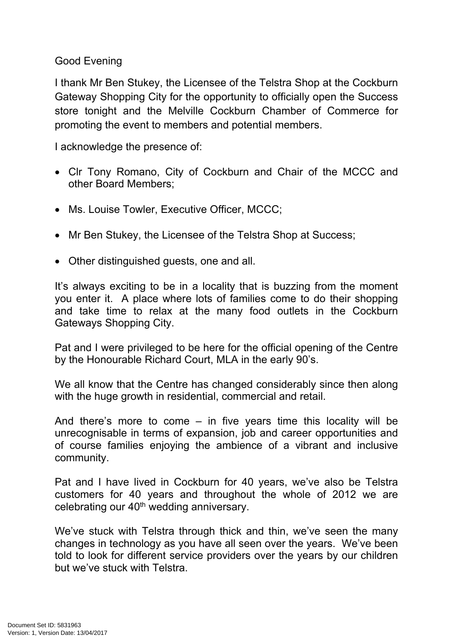Good Evening

I thank Mr Ben Stukey, the Licensee of the Telstra Shop at the Cockburn Gateway Shopping City for the opportunity to officially open the Success store tonight and the Melville Cockburn Chamber of Commerce for promoting the event to members and potential members.

I acknowledge the presence of:

- Clr Tony Romano, City of Cockburn and Chair of the MCCC and other Board Members;
- Ms. Louise Towler, Executive Officer, MCCC;
- Mr Ben Stukey, the Licensee of the Telstra Shop at Success;
- Other distinguished guests, one and all.

It's always exciting to be in a locality that is buzzing from the moment you enter it. A place where lots of families come to do their shopping and take time to relax at the many food outlets in the Cockburn Gateways Shopping City.

Pat and I were privileged to be here for the official opening of the Centre by the Honourable Richard Court, MLA in the early 90's.

We all know that the Centre has changed considerably since then along with the huge growth in residential, commercial and retail.

And there's more to come – in five years time this locality will be unrecognisable in terms of expansion, job and career opportunities and of course families enjoying the ambience of a vibrant and inclusive community.

Pat and I have lived in Cockburn for 40 years, we've also be Telstra customers for 40 years and throughout the whole of 2012 we are celebrating our 40<sup>th</sup> wedding anniversary.

We've stuck with Telstra through thick and thin, we've seen the many changes in technology as you have all seen over the years. We've been told to look for different service providers over the years by our children but we've stuck with Telstra.